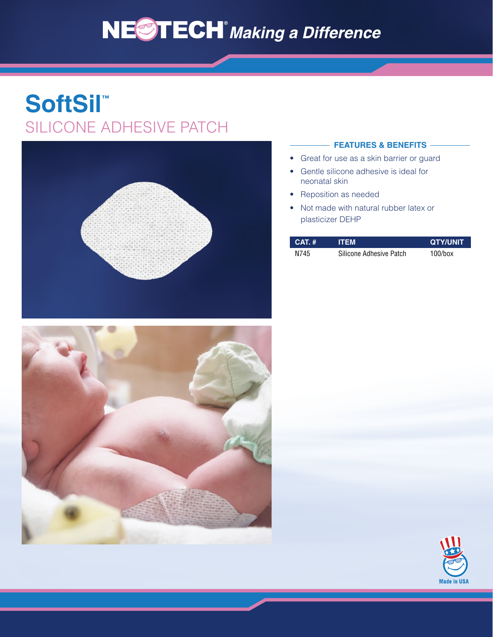# NESTECH<sup>®</sup> Making a Difference

## **SoftSil™** SILICONE ADHESIVE PATCH



#### **FEATURES & BENEFITS**

- Great for use as a skin barrier or guard
- Gentle silicone adhesive is ideal for neonatal skin
- Reposition as needed
- Not made with natural rubber latex or plasticizer DEHP

| $CAT.$ # | <b>ITEM</b>             | <b>QTY/UNIT</b> |
|----------|-------------------------|-----------------|
| N745     | Silicone Adhesive Patch | 100/box         |